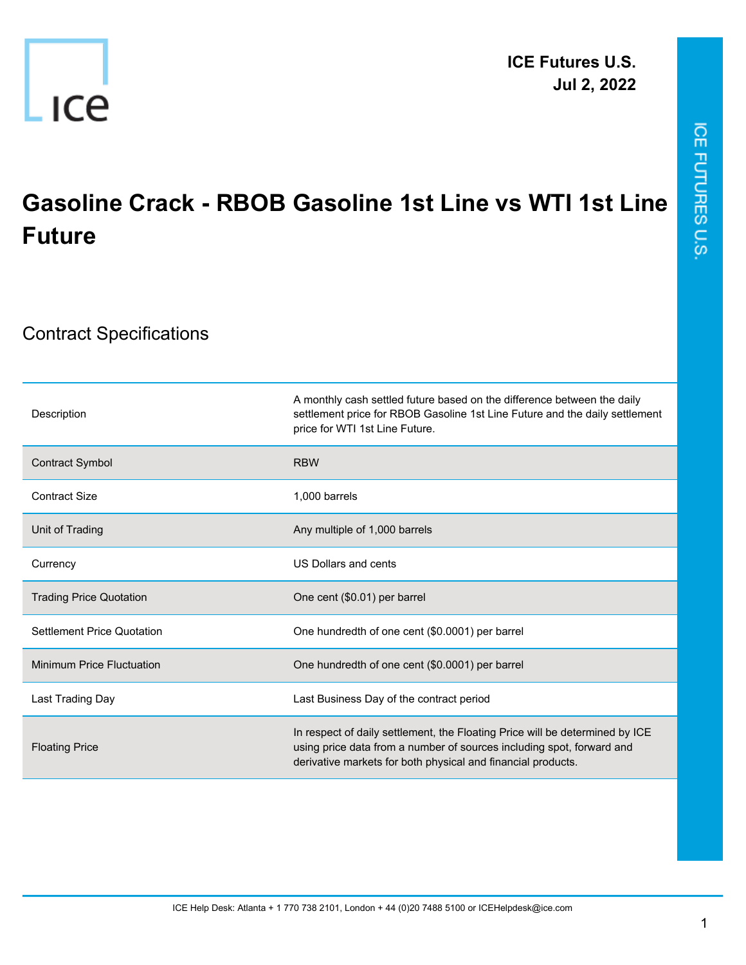

## **Gasoline Crack - RBOB Gasoline 1st Line vs WTI 1st Line Future**

## Contract Specifications

| Description                       | A monthly cash settled future based on the difference between the daily<br>settlement price for RBOB Gasoline 1st Line Future and the daily settlement<br>price for WTI 1st Line Future.                              |
|-----------------------------------|-----------------------------------------------------------------------------------------------------------------------------------------------------------------------------------------------------------------------|
| <b>Contract Symbol</b>            | <b>RBW</b>                                                                                                                                                                                                            |
| <b>Contract Size</b>              | 1.000 barrels                                                                                                                                                                                                         |
| Unit of Trading                   | Any multiple of 1,000 barrels                                                                                                                                                                                         |
| Currency                          | US Dollars and cents                                                                                                                                                                                                  |
| <b>Trading Price Quotation</b>    | One cent (\$0.01) per barrel                                                                                                                                                                                          |
| <b>Settlement Price Quotation</b> | One hundredth of one cent (\$0.0001) per barrel                                                                                                                                                                       |
| <b>Minimum Price Fluctuation</b>  | One hundredth of one cent (\$0.0001) per barrel                                                                                                                                                                       |
| Last Trading Day                  | Last Business Day of the contract period                                                                                                                                                                              |
| <b>Floating Price</b>             | In respect of daily settlement, the Floating Price will be determined by ICE<br>using price data from a number of sources including spot, forward and<br>derivative markets for both physical and financial products. |